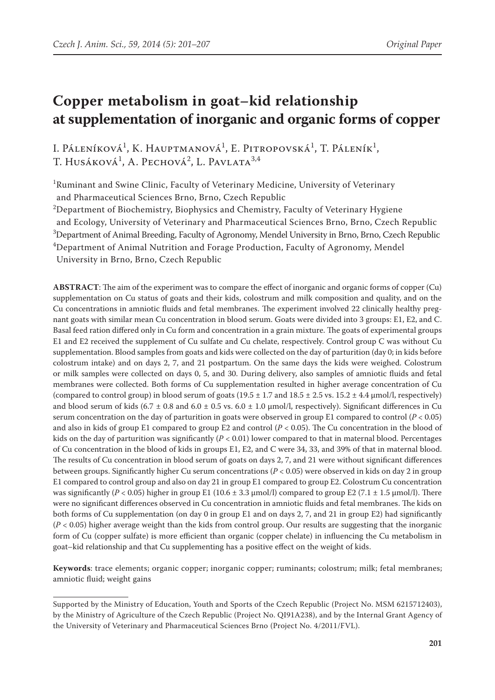# **Copper metabolism in goat–kid relationship at supplementation of inorganic and organic forms of copper**

I. Páleníková<sup>1</sup>, K. Hauptmanová<sup>1</sup>, E. Pitropovská<sup>1</sup>, T. Páleník<sup>1</sup>, T. Husáková<sup>1</sup>, A. Pechová<sup>2</sup>, L. Pavlata<sup>3,4</sup>

<sup>1</sup>Ruminant and Swine Clinic, Faculty of Veterinary Medicine, University of Veterinary and Pharmaceutical Sciences Brno, Brno, Czech Republic

 $^{2}$ Department of Biochemistry, Biophysics and Chemistry, Faculty of Veterinary Hygiene

and Ecology, University of Veterinary and Pharmaceutical Sciences Brno, Brno, Czech Republic

 $^3$ Department of Animal Breeding, Faculty of Agronomy, Mendel University in Brno, Brno, Czech Republic

4 Department of Animal Nutrition and Forage Production, Faculty of Agronomy, Mendel University in Brno, Brno, Czech Republic

**Abstract**: The aim of the experiment was to compare the effect of inorganic and organic forms of copper (Cu) supplementation on Cu status of goats and their kids, colostrum and milk composition and quality, and on the Cu concentrations in amniotic fluids and fetal membranes. The experiment involved 22 clinically healthy pregnant goats with similar mean Cu concentration in blood serum. Goats were divided into 3 groups: E1, E2, and C. Basal feed ration differed only in Cu form and concentration in a grain mixture. The goats of experimental groups E1 and E2 received the supplement of Cu sulfate and Cu chelate, respectively. Control group C was without Cu supplementation. Blood samples from goats and kids were collected on the day of parturition (day 0; in kids before colostrum intake) and on days 2, 7, and 21 postpartum. On the same days the kids were weighed. Colostrum or milk samples were collected on days 0, 5, and 30. During delivery, also samples of amniotic fluids and fetal membranes were collected. Both forms of Cu supplementation resulted in higher average concentration of Cu (compared to control group) in blood serum of goats  $(19.5 \pm 1.7 \text{ and } 18.5 \pm 2.5 \text{ vs. } 15.2 \pm 4.4 \text{ µmol/l, respectively})$ and blood serum of kids (6.7  $\pm$  0.8 and 6.0  $\pm$  0.5 vs. 6.0  $\pm$  1.0 µmol/l, respectively). Significant differences in Cu serum concentration on the day of parturition in goats were observed in group E1 compared to control  $(P < 0.05)$ and also in kids of group E1 compared to group E2 and control  $(P < 0.05)$ . The Cu concentration in the blood of kids on the day of parturition was significantly  $(P < 0.01)$  lower compared to that in maternal blood. Percentages of Cu concentration in the blood of kids in groups E1, E2, and C were 34, 33, and 39% of that in maternal blood. The results of Cu concentration in blood serum of goats on days 2, 7, and 21 were without significant differences between groups. Significantly higher Cu serum concentrations (*P* < 0.05) were observed in kids on day 2 in group E1 compared to control group and also on day 21 in group E1 compared to group E2. Colostrum Cu concentration was significantly ( $P < 0.05$ ) higher in group E1 (10.6  $\pm$  3.3 µmol/l) compared to group E2 (7.1  $\pm$  1.5 µmol/l). There were no significant differences observed in Cu concentration in amniotic fluids and fetal membranes. The kids on both forms of Cu supplementation (on day 0 in group E1 and on days 2, 7, and 21 in group E2) had significantly  $(P < 0.05)$  higher average weight than the kids from control group. Our results are suggesting that the inorganic form of Cu (copper sulfate) is more efficient than organic (copper chelate) in influencing the Cu metabolism in goat–kid relationship and that Cu supplementing has a positive effect on the weight of kids.

**Keywords**: trace elements; organic copper; inorganic copper; ruminants; colostrum; milk; fetal membranes; amniotic fluid; weight gains

Supported by the Ministry of Education, Youth and Sports of the Czech Republic (Project No. MSM 6215712403), by the Ministry of Agriculture of the Czech Republic (Project No. QI91A238), and by the Internal Grant Agency of the University of Veterinary and Pharmaceutical Sciences Brno (Project No. 4/2011/FVL).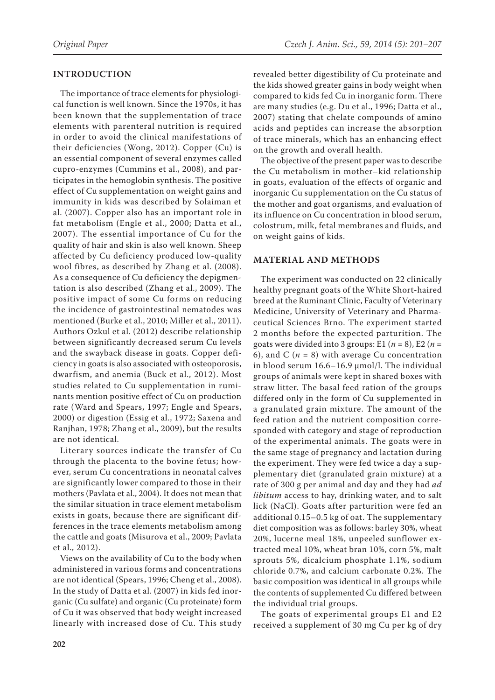## **INTRODUCTION**

The importance of trace elements for physiological function is well known. Since the 1970s, it has been known that the supplementation of trace elements with parenteral nutrition is required in order to avoid the clinical manifestations of their deficiencies (Wong, 2012). Copper (Cu) is an essential component of several enzymes called cupro-enzymes (Cummins et al., 2008), and participates in the hemoglobin synthesis. The positive effect of Cu supplementation on weight gains and immunity in kids was described by Solaiman et al. (2007). Copper also has an important role in fat metabolism (Engle et al., 2000; Datta et al., 2007). The essential importance of Cu for the quality of hair and skin is also well known. Sheep affected by Cu deficiency produced low-quality wool fibres, as described by Zhang et al. (2008). As a consequence of Cu deficiency the depigmentation is also described (Zhang et al., 2009). The positive impact of some Cu forms on reducing the incidence of gastrointestinal nematodes was mentioned (Burke et al., 2010; Miller et al., 2011). Authors Ozkul et al. (2012) describe relationship between significantly decreased serum Cu levels and the swayback disease in goats. Copper deficiency in goats is also associated with osteoporosis, dwarfism, and anemia (Buck et al., 2012). Most studies related to Cu supplementation in ruminants mention positive effect of Cu on production rate (Ward and Spears, 1997; Engle and Spears, 2000) or digestion (Essig et al., 1972; Saxena and Ranjhan, 1978; Zhang et al., 2009), but the results are not identical.

Literary sources indicate the transfer of Cu through the placenta to the bovine fetus; however, serum Cu concentrations in neonatal calves are significantly lower compared to those in their mothers (Pavlata et al., 2004). It does not mean that the similar situation in trace element metabolism exists in goats, because there are significant differences in the trace elements metabolism among the cattle and goats (Misurova et al., 2009; Pavlata et al., 2012).

Views on the availability of Cu to the body when administered in various forms and concentrations are not identical (Spears, 1996; Cheng et al., 2008). In the study of Datta et al. (2007) in kids fed inorganic (Cu sulfate) and organic (Cu proteinate) form of Cu it was observed that body weight increased linearly with increased dose of Cu. This study revealed better digestibility of Cu proteinate and the kids showed greater gains in body weight when compared to kids fed Cu in inorganic form. There are many studies (e.g. Du et al., 1996; Datta et al., 2007) stating that chelate compounds of amino acids and peptides can increase the absorption of trace minerals, which has an enhancing effect on the growth and overall health.

The objective of the present paper was to describe the Cu metabolism in mother–kid relationship in goats, evaluation of the effects of organic and inorganic Cu supplementation on the Cu status of the mother and goat organisms, and evaluation of its influence on Cu concentration in blood serum, colostrum, milk, fetal membranes and fluids, and on weight gains of kids.

## **Material and methods**

The experiment was conducted on 22 clinically healthy pregnant goats of the White Short-haired breed at the Ruminant Clinic, Faculty of Veterinary Medicine, University of Veterinary and Pharmaceutical Sciences Brno. The experiment started 2 months before the expected parturition. The goats were divided into 3 groups: E1 ( $n = 8$ ), E2 ( $n =$ 6), and C  $(n = 8)$  with average Cu concentration in blood serum 16.6–16.9 µmol/l. The individual groups of animals were kept in shared boxes with straw litter. The basal feed ration of the groups differed only in the form of Cu supplemented in a granulated grain mixture. The amount of the feed ration and the nutrient composition corresponded with category and stage of reproduction of the experimental animals. The goats were in the same stage of pregnancy and lactation during the experiment. They were fed twice a day a supplementary diet (granulated grain mixture) at a rate of 300 g per animal and day and they had *ad libitum* access to hay, drinking water, and to salt lick (NaCl). Goats after parturition were fed an additional 0.15–0.5 kg of oat. The supplementary diet composition was as follows: barley 30%, wheat 20%, lucerne meal 18%, unpeeled sunflower extracted meal 10%, wheat bran 10%, corn 5%, malt sprouts 5%, dicalcium phosphate 1.1%, sodium chloride 0.7%, and calcium carbonate 0.2%. The basic composition was identical in all groups while the contents of supplemented Cu differed between the individual trial groups.

The goats of experimental groups E1 and E2 received a supplement of 30 mg Cu per kg of dry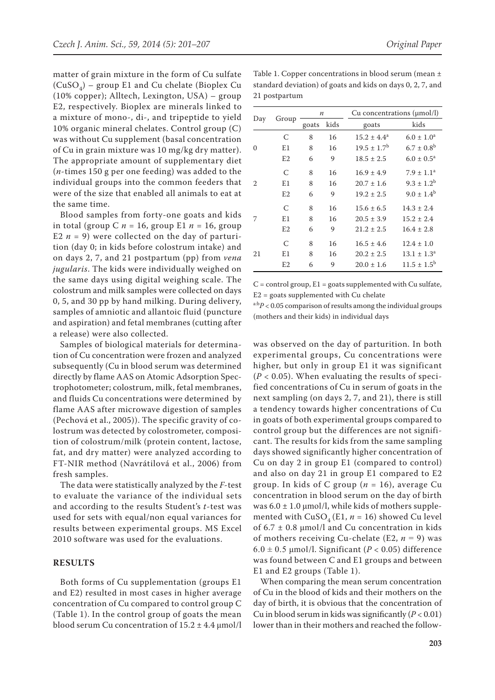E2, respectively. Bioplex are minerals linked to a mixture of mono-, di-, and tripeptide to yield 10% organic mineral chelates. Control group (C) was without Cu supplement (basal concentration of Cu in grain mixture was 10 mg/kg dry matter). The appropriate amount of supplementary diet (*n*-times 150 g per one feeding) was added to the individual groups into the common feeders that were of the size that enabled all animals to eat at the same time.

Blood samples from forty-one goats and kids in total (group C  $n = 16$ , group E1  $n = 16$ , group E2  $n = 9$ ) were collected on the day of parturition (day 0; in kids before colostrum intake) and on days 2, 7, and 21 postpartum (pp) from *vena jugularis*. The kids were individually weighed on the same days using digital weighing scale. The colostrum and milk samples were collected on days 0, 5, and 30 pp by hand milking. During delivery, samples of amniotic and allantoic fluid (puncture and aspiration) and fetal membranes (cutting after a release) were also collected.

Samples of biological materials for determination of Cu concentration were frozen and analyzed subsequently (Cu in blood serum was determined directly by flame AAS on Atomic Adsorption Spectrophotometer; colostrum, milk, fetal membranes, and fluids Cu concentrations were determined by flame AAS after microwave digestion of samples (Pechová et al., 2005)). The specific gravity of colostrum was detected by colostrometer, composition of colostrum/milk (protein content, lactose, fat, and dry matter) were analyzed according to FT-NIR method (Navrátilová et al., 2006) from fresh samples.

The data were statistically analyzed by the *F*-test to evaluate the variance of the individual sets and according to the results Student's *t*-test was used for sets with equal/non equal variances for results between experimental groups. MS Excel 2010 software was used for the evaluations.

#### **Results**

Both forms of Cu supplementation (groups E1 and E2) resulted in most cases in higher average concentration of Cu compared to control group C (Table 1). In the control group of goats the mean blood serum Cu concentration of  $15.2 \pm 4.4$   $\mu$ mol/l

| 21 postpartum                                                    |
|------------------------------------------------------------------|
| standard deviation) of goats and kids on days 0, 2, 7, and       |
| $\mu$ radic 1. Copper concentrations in prood serum (incan $\pm$ |

|          | Group          | $\boldsymbol{n}$ |      | Cu concentrations $(\mu mol/l)$ |                          |
|----------|----------------|------------------|------|---------------------------------|--------------------------|
| Day      |                | goats            | kids | goats                           | kids                     |
| $\Omega$ | C              | 8                | 16   | $15.2 \pm 4.4^a$                | $6.0 \pm 1.0^a$          |
|          | E1             | 8                | 16   | $19.5 \pm 1.7^{\rm b}$          | $6.7 \pm 0.8^{\rm b}$    |
|          | E <sub>2</sub> | 6                | 9    | $18.5 \pm 2.5$                  | $6.0 \pm 0.5^{\text{a}}$ |
|          | C              | 8                | 16   | $16.9 \pm 4.9$                  | $7.9 \pm 1.1^a$          |
| 2        | E1             | 8                | 16   | $20.7 \pm 1.6$                  | $9.3 \pm 1.2^b$          |
|          | E2             | 6                | 9    | $19.2 \pm 2.5$                  | $9.0 \pm 1.4^b$          |
| 7        | C              | 8                | 16   | $15.6 \pm 6.5$                  | $14.3 \pm 2.4$           |
|          | E1             | 8                | 16   | $20.5 \pm 3.9$                  | $15.2 \pm 2.4$           |
|          | E <sub>2</sub> | 6                | 9    | $21.2 \pm 2.5$                  | $16.4 \pm 2.8$           |
| 21       | C              | 8                | 16   | $16.5 \pm 4.6$                  | $12.4 \pm 1.0$           |
|          | E1             | 8                | 16   | $20.2 \pm 2.5$                  | $13.1 \pm 1.3^a$         |
|          | E2             | 6                | 9    | $20.0 \pm 1.6$                  | $11.5 \pm 1.5^{\rm b}$   |

 $C =$  control group,  $E1 =$  goats supplemented with Cu sulfate, E2 = goats supplemented with Cu chelate

 $a:bP < 0.05$  comparison of results among the individual groups (mothers and their kids) in individual days

was observed on the day of parturition. In both experimental groups, Cu concentrations were higher, but only in group E1 it was significant  $(P < 0.05)$ . When evaluating the results of specified concentrations of Cu in serum of goats in the next sampling (on days 2, 7, and 21), there is still a tendency towards higher concentrations of Cu in goats of both experimental groups compared to control group but the differences are not significant. The results for kids from the same sampling days showed significantly higher concentration of Cu on day 2 in group E1 (compared to control) and also on day 21 in group E1 compared to E2 group. In kids of C group (*n* = 16), average Cu concentration in blood serum on the day of birth was  $6.0 \pm 1.0 \,\text{\mu}$  mol/l, while kids of mothers supplemented with  $CuSO<sub>4</sub>(E1, n = 16)$  showed Cu level of  $6.7 \pm 0.8$  µmol/l and Cu concentration in kids of mothers receiving Cu-chelate (E2,  $n = 9$ ) was  $6.0 \pm 0.5$  µmol/l. Significant (*P* < 0.05) difference was found between C and E1 groups and between E1 and E2 groups (Table 1).

When comparing the mean serum concentration of Cu in the blood of kids and their mothers on the day of birth, it is obvious that the concentration of Cu in blood serum in kids was significantly  $(P < 0.01)$ lower than in their mothers and reached the follow-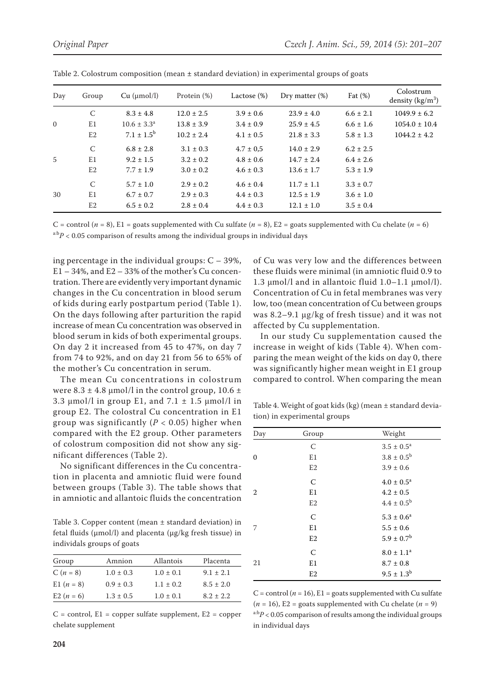| Day      | Group             | Cu (µmol/l)            | Protein (%)    | Lactose (%)   | Dry matter $(\%)$ | Fat $(\%)$    | Colostrum<br>density $(kg/m^3)$ |
|----------|-------------------|------------------------|----------------|---------------|-------------------|---------------|---------------------------------|
| $\Omega$ | $\mathcal{C}_{0}$ | $8.3 \pm 4.8$          | $12.0 \pm 2.5$ | $3.9 \pm 0.6$ | $23.9 \pm 4.0$    | $6.6 \pm 2.1$ | $1049.9 \pm 6.2$                |
|          | E1                | $10.6 \pm 3.3^{\circ}$ | $13.8 \pm 3.9$ | $3.4 \pm 0.9$ | $25.9 \pm 4.5$    | $6.6 \pm 1.6$ | $1054.0 \pm 10.4$               |
|          | E2                | $7.1 \pm 1.5^{\rm b}$  | $10.2 \pm 2.4$ | $4.1 \pm 0.5$ | $21.8 \pm 3.3$    | $5.8 \pm 1.3$ | $1044.2 \pm 4.2$                |
| 5        | C                 | $6.8 \pm 2.8$          | $3.1 \pm 0.3$  | $4.7 \pm 0.5$ | $14.0 \pm 2.9$    | $6.2 \pm 2.5$ |                                 |
|          | E1                | $9.2 \pm 1.5$          | $3.2 \pm 0.2$  | $4.8 \pm 0.6$ | $14.7 \pm 2.4$    | $6.4 \pm 2.6$ |                                 |
|          | E2                | $7.7 \pm 1.9$          | $3.0 \pm 0.2$  | $4.6 \pm 0.3$ | $13.6 \pm 1.7$    | $5.3 \pm 1.9$ |                                 |
| 30       | C                 | $5.7 \pm 1.0$          | $2.9 \pm 0.2$  | $4.6 \pm 0.4$ | $11.7 \pm 1.1$    | $3.3 \pm 0.7$ |                                 |
|          | E <sub>1</sub>    | $6.7 \pm 0.7$          | $2.9 \pm 0.3$  | $4.4 \pm 0.3$ | $12.5 \pm 1.9$    | $3.6 \pm 1.0$ |                                 |
|          | E <sub>2</sub>    | $6.5 \pm 0.2$          | $2.8 \pm 0.4$  | $4.4 \pm 0.3$ | $12.1 \pm 1.0$    | $3.5 \pm 0.4$ |                                 |

Table 2. Colostrum composition (mean ± standard deviation) in experimental groups of goats

C = control  $(n = 8)$ , E1 = goats supplemented with Cu sulfate  $(n = 8)$ , E2 = goats supplemented with Cu chelate  $(n = 6)$  $a:bP < 0.05$  comparison of results among the individual groups in individual days

ing percentage in the individual groups:  $C - 39\%$ ,  $E1 - 34$ %, and  $E2 - 33$ % of the mother's Cu concentration. There are evidently very important dynamic changes in the Cu concentration in blood serum of kids during early postpartum period (Table 1). On the days following after parturition the rapid increase of mean Cu concentration was observed in blood serum in kids of both experimental groups. On day 2 it increased from 45 to 47%, on day 7 from 74 to 92%, and on day 21 from 56 to 65% of the mother's Cu concentration in serum.

The mean Cu concentrations in colostrum were  $8.3 \pm 4.8$  µmol/l in the control group,  $10.6 \pm$ 3.3  $\mu$ mol/l in group E1, and 7.1  $\pm$  1.5  $\mu$ mol/l in group E2. The colostral Cu concentration in E1 group was significantly  $(P < 0.05)$  higher when compared with the E2 group. Other parameters of colostrum composition did not show any significant differences (Table 2).

No significant differences in the Cu concentration in placenta and amniotic fluid were found between groups (Table 3). The table shows that in amniotic and allantoic fluids the concentration

Table 3. Copper content (mean ± standard deviation) in fetal fluids (μmol/l) and placenta (μg/kg fresh tissue) in individals groups of goats

| Group        | Amnion        | Allantois     | Placenta      |
|--------------|---------------|---------------|---------------|
| $C(n = 8)$   | $1.0 \pm 0.3$ | $1.0 \pm 0.1$ | $9.1 \pm 2.1$ |
| E1 $(n = 8)$ | $0.9 \pm 0.3$ | $1.1 \pm 0.2$ | $8.5 \pm 2.0$ |
| E2 $(n = 6)$ | $1.3 \pm 0.5$ | $1.0 \pm 0.1$ | $8.2 \pm 2.2$ |

 $C =$  control,  $E1 =$  copper sulfate supplement,  $E2 =$  copper chelate supplement

of Cu was very low and the differences between these fluids were minimal (in amniotic fluid 0.9 to 1.3 μmol/l and in allantoic fluid 1.0–1.1 μmol/l). Concentration of Cu in fetal membranes was very low, too (mean concentration of Cu between groups was 8.2–9.1 μg/kg of fresh tissue) and it was not affected by Cu supplementation.

In our study Cu supplementation caused the increase in weight of kids (Table 4). When comparing the mean weight of the kids on day 0, there was significantly higher mean weight in E1 group compared to control. When comparing the mean

Table 4. Weight of goat kids (kg) (mean ± standard deviation) in experimental groups

| Day      | Group          | Weight                   |
|----------|----------------|--------------------------|
|          | C              | $3.5 \pm 0.5^{\text{a}}$ |
| $\Omega$ | E1             | $3.8 \pm 0.5^{\rm b}$    |
|          | E <sub>2</sub> | $3.9 \pm 0.6$            |
|          | C              | $4.0 \pm 0.5^{\text{a}}$ |
| 2        | E1             | $4.2 \pm 0.5$            |
|          | E <sub>2</sub> | $4.4 \pm 0.5^{\rm b}$    |
|          | $\mathcal{C}$  | $5.3 \pm 0.6^a$          |
| 7        | E1             | $5.5 \pm 0.6$            |
|          | E2             | $5.9 \pm 0.7^{\rm b}$    |
|          | $\mathsf{C}$   | $8.0 \pm 1.1^a$          |
| 21       | E1             | $8.7 \pm 0.8$            |
|          | E2             | $9.5 \pm 1.3^{\rm b}$    |

C = control ( $n = 16$ ), E1 = goats supplemented with Cu sulfate  $(n = 16)$ , E2 = goats supplemented with Cu chelate  $(n = 9)$  $a:bP < 0.05$  comparison of results among the individual groups in individual days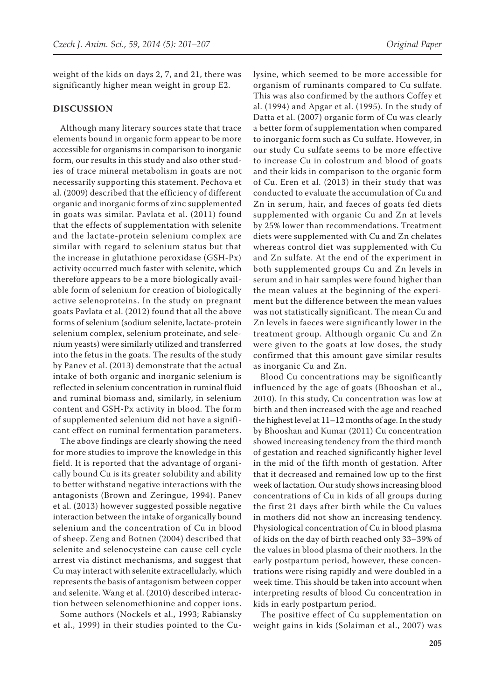weight of the kids on days 2, 7, and 21, there was significantly higher mean weight in group E2.

#### **Discussion**

Although many literary sources state that trace elements bound in organic form appear to be more accessible for organisms in comparison to inorganic form, our results in this study and also other studies of trace mineral metabolism in goats are not necessarily supporting this statement. Pechova et al. (2009) described that the efficiency of different organic and inorganic forms of zinc supplemented in goats was similar. Pavlata et al. (2011) found that the effects of supplementation with selenite and the lactate-protein selenium complex are similar with regard to selenium status but that the increase in glutathione peroxidase (GSH-Px) activity occurred much faster with selenite, which therefore appears to be a more biologically available form of selenium for creation of biologically active selenoproteins. In the study on pregnant goats Pavlata et al. (2012) found that all the above forms of selenium (sodium selenite, lactate-protein selenium complex, selenium proteinate, and selenium yeasts) were similarly utilized and transferred into the fetus in the goats. The results of the study by Panev et al. (2013) demonstrate that the actual intake of both organic and inorganic selenium is reflected in selenium concentration in ruminal fluid and ruminal biomass and, similarly, in selenium content and GSH-Px activity in blood. The form of supplemented selenium did not have a significant effect on ruminal fermentation parameters.

The above findings are clearly showing the need for more studies to improve the knowledge in this field. It is reported that the advantage of organically bound Cu is its greater solubility and ability to better withstand negative interactions with the antagonists (Brown and Zeringue, 1994). Panev et al. (2013) however suggested possible negative interaction between the intake of organically bound selenium and the concentration of Cu in blood of sheep. Zeng and Botnen (2004) described that selenite and selenocysteine can cause cell cycle arrest via distinct mechanisms, and suggest that Cu may interact with selenite extracellularly, which represents the basis of antagonism between copper and selenite. Wang et al. (2010) described interaction between selenomethionine and copper ions.

Some authors (Nockels et al., 1993; Rabiansky et al., 1999) in their studies pointed to the Culysine, which seemed to be more accessible for organism of ruminants compared to Cu sulfate. This was also confirmed by the authors Coffey et al. (1994) and Apgar et al. (1995). In the study of Datta et al. (2007) organic form of Cu was clearly a better form of supplementation when compared to inorganic form such as Cu sulfate. However, in our study Cu sulfate seems to be more effective to increase Cu in colostrum and blood of goats and their kids in comparison to the organic form of Cu. Eren et al. (2013) in their study that was conducted to evaluate the accumulation of Cu and Zn in serum, hair, and faeces of goats fed diets supplemented with organic Cu and Zn at levels by 25% lower than recommendations. Treatment diets were supplemented with Cu and Zn chelates whereas control diet was supplemented with Cu and Zn sulfate. At the end of the experiment in both supplemented groups Cu and Zn levels in serum and in hair samples were found higher than the mean values at the beginning of the experiment but the difference between the mean values was not statistically significant. The mean Cu and Zn levels in faeces were significantly lower in the treatment group. Although organic Cu and Zn were given to the goats at low doses, the study confirmed that this amount gave similar results as inorganic Cu and Zn.

Blood Cu concentrations may be significantly influenced by the age of goats (Bhooshan et al., 2010). In this study, Cu concentration was low at birth and then increased with the age and reached the highest level at 11–12 months of age. In the study by Bhooshan and Kumar (2011) Cu concentration showed increasing tendency from the third month of gestation and reached significantly higher level in the mid of the fifth month of gestation. After that it decreased and remained low up to the first week of lactation. Our study shows increasing blood concentrations of Cu in kids of all groups during the first 21 days after birth while the Cu values in mothers did not show an increasing tendency. Physiological concentration of Cu in blood plasma of kids on the day of birth reached only 33–39% of the values in blood plasma of their mothers. In the early postpartum period, however, these concentrations were rising rapidly and were doubled in a week time. This should be taken into account when interpreting results of blood Cu concentration in kids in early postpartum period.

The positive effect of Cu supplementation on weight gains in kids (Solaiman et al., 2007) was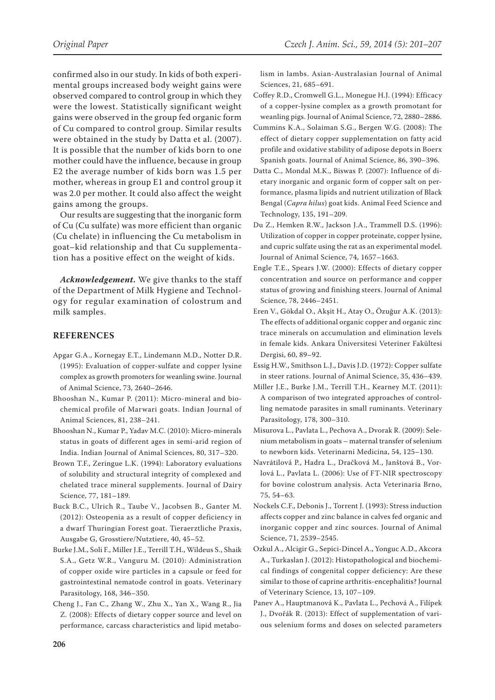confirmed also in our study. In kids of both experimental groups increased body weight gains were observed compared to control group in which they were the lowest. Statistically significant weight gains were observed in the group fed organic form of Cu compared to control group. Similar results were obtained in the study by Datta et al. (2007). It is possible that the number of kids born to one mother could have the influence, because in group E2 the average number of kids born was 1.5 per mother, whereas in group E1 and control group it was 2.0 per mother. It could also affect the weight gains among the groups.

Our results are suggesting that the inorganic form of Cu (Cu sulfate) was more efficient than organic (Cu chelate) in influencing the Cu metabolism in goat–kid relationship and that Cu supplementation has a positive effect on the weight of kids.

*Acknowledgement.* We give thanks to the staff of the Department of Milk Hygiene and Technology for regular examination of colostrum and milk samples.

### **References**

- Apgar G.A., Kornegay E.T., Lindemann M.D., Notter D.R. (1995): Evaluation of copper-sulfate and copper lysine complex as growth promoters for weanling swine. Journal of Animal Science, 73, 2640–2646.
- Bhooshan N., Kumar P. (2011): Micro-mineral and biochemical profile of Marwari goats. Indian Journal of Animal Sciences, 81, 238–241.
- Bhooshan N., Kumar P., Yadav M.C. (2010): Micro-minerals status in goats of different ages in semi-arid region of India. Indian Journal of Animal Sciences, 80, 317–320.
- Brown T.F., Zeringue L.K. (1994): Laboratory evaluations of solubility and structural integrity of complexed and chelated trace mineral supplements. Journal of Dairy Science, 77, 181–189.
- Buck B.C., Ulrich R., Taube V., Jacobsen B., Ganter M. (2012): Osteopenia as a result of copper deficiency in a dwarf Thuringian Forest goat. Tieraerztliche Praxis, Ausgabe G, Grosstiere/Nutztiere, 40, 45–52.
- Burke J.M., Soli F., Miller J.E., Terrill T.H., Wildeus S., Shaik S.A., Getz W.R., Vanguru M. (2010): Administration of copper oxide wire particles in a capsule or feed for gastrointestinal nematode control in goats. Veterinary Parasitology, 168, 346–350.
- Cheng J., Fan C., Zhang W., Zhu X., Yan X., Wang R., Jia Z. (2008): Effects of dietary copper source and level on performance, carcass characteristics and lipid metabo-

lism in lambs. Asian-Australasian Journal of Animal Sciences, 21, 685–691.

- Coffey R.D., Cromwell G.L., Monegue H.J. (1994): Efficacy of a copper-lysine complex as a growth promotant for weanling pigs. Journal of Animal Science, 72, 2880–2886.
- Cummins K.A., Solaiman S.G., Bergen W.G. (2008): The effect of dietary copper supplementation on fatty acid profile and oxidative stability of adipose depots in Boerx Spanish goats. Journal of Animal Science, 86, 390–396.
- Datta C., Mondal M.K., Biswas P. (2007): Influence of dietary inorganic and organic form of copper salt on performance, plasma lipids and nutrient utilization of Black Bengal (*Capra hilus*) goat kids. Animal Feed Science and Technology, 135, 191–209.
- Du Z., Hemken R.W., Jackson J.A., Trammell D.S. (1996): Utilization of copper in copper proteinate, copper lysine, and cupric sulfate using the rat as an experimental model. Journal of Animal Science, 74, 1657–1663.
- Engle T.E., Spears J.W. (2000): Effects of dietary copper concentration and source on performance and copper status of growing and finishing steers. Journal of Animal Science, 78, 2446–2451.
- Eren V., Gökdal O., Akşit H., Atay O., Özuğur A.K. (2013): The effects of additional organic copper and organic zinc trace minerals on accumulation and elimination levels in female kids. Ankara Üniversitesi Veteriner Fakültesi Dergisi, 60, 89–92.
- Essig H.W., Smithson L.J., Davis J.D. (1972): Copper sulfate in steer rations. Journal of Animal Science, 35, 436–439.
- Miller J.E., Burke J.M., Terrill T.H., Kearney M.T. (2011): A comparison of two integrated approaches of controlling nematode parasites in small ruminants. Veterinary Parasitology, 178, 300–310.
- Misurova L., Pavlata L., Pechova A., Dvorak R. (2009): Selenium metabolism in goats – maternal transfer of selenium to newborn kids. Veterinarni Medicina, 54, 125–130.
- Navrátilová P., Hadra L., Dračková M., Janštová B., Vorlová L., Pavlata L. (2006): Use of FT-NIR spectroscopy for bovine colostrum analysis. Acta Veterinaria Brno, 75, 54–63.
- Nockels C.F., Debonis J., Torrent J. (1993): Stress induction affects copper and zinc balance in calves fed organic and inorganic copper and zinc sources. Journal of Animal Science, 71, 2539–2545.
- Ozkul A., Alcigir G., Sepici-Dincel A., Yonguc A.D., Akcora A., Turkaslan J. (2012): Histopathological and biochemical findings of congenital copper deficiency: Are these similar to those of caprine arthritis-encephalitis? Journal of Veterinary Science, 13, 107–109.
- Panev A., Hauptmanová K., Pavlata L., Pechová A., Filípek J., Dvořák R. (2013): Effect of supplementation of various selenium forms and doses on selected parameters